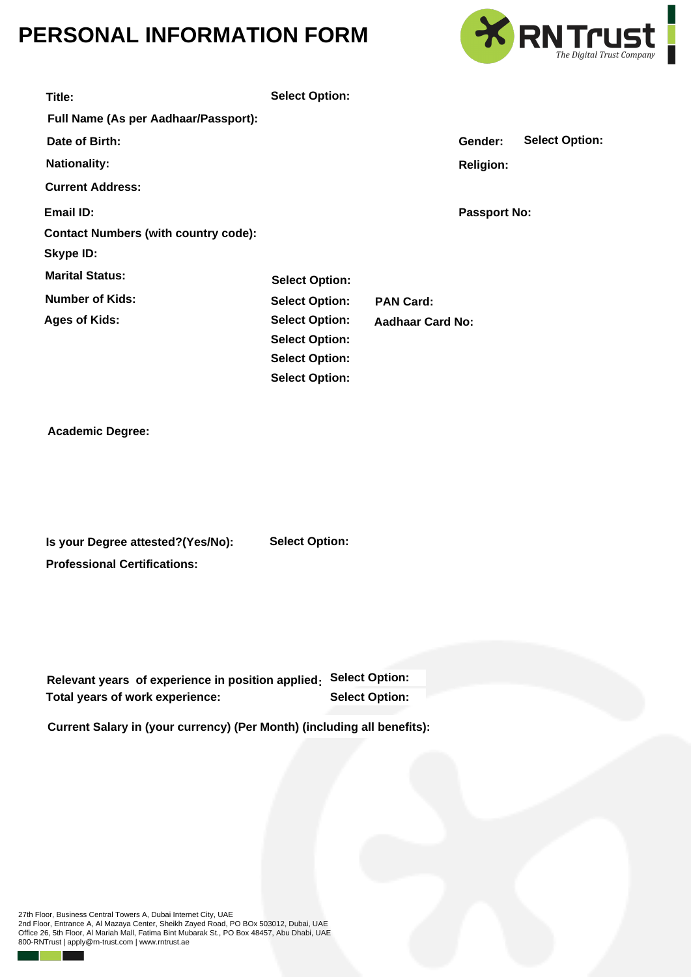## **PERSONAL INFORMATION FORM**



| Title:                                            | <b>Select Option:</b> |  |                         |                     |                       |
|---------------------------------------------------|-----------------------|--|-------------------------|---------------------|-----------------------|
| Full Name (As per Aadhaar/Passport):              |                       |  |                         |                     |                       |
| Date of Birth:                                    |                       |  |                         | Gender:             | <b>Select Option:</b> |
| <b>Nationality:</b>                               |                       |  |                         | <b>Religion:</b>    |                       |
| <b>Current Address:</b>                           |                       |  |                         |                     |                       |
| <b>Email ID:</b>                                  |                       |  |                         | <b>Passport No:</b> |                       |
| <b>Contact Numbers (with country code):</b>       |                       |  |                         |                     |                       |
| <b>Skype ID:</b>                                  |                       |  |                         |                     |                       |
| <b>Marital Status:</b>                            | <b>Select Option:</b> |  |                         |                     |                       |
| <b>Number of Kids:</b>                            | <b>Select Option:</b> |  | <b>PAN Card:</b>        |                     |                       |
| <b>Ages of Kids:</b>                              | <b>Select Option:</b> |  | <b>Aadhaar Card No:</b> |                     |                       |
|                                                   | <b>Select Option:</b> |  |                         |                     |                       |
|                                                   | <b>Select Option:</b> |  |                         |                     |                       |
|                                                   | <b>Select Option:</b> |  |                         |                     |                       |
| <b>Academic Degree:</b>                           |                       |  |                         |                     |                       |
| Is your Degree attested?(Yes/No):                 | <b>Select Option:</b> |  |                         |                     |                       |
| <b>Professional Certifications:</b>               |                       |  |                         |                     |                       |
| Relevant years of experience in position applied: |                       |  | <b>Select Option:</b>   |                     |                       |
| Total years of work experience:                   |                       |  | <b>Select Option:</b>   |                     |                       |

**Current Salary in (your currency) (Per Month) (including all benefits):** 

27th Floor, Business Central Towers A, Dubai Internet City, UAE 2nd Floor, Entrance A, Al Mazaya Center, Sheikh Zayed Road, PO BOx 503012, Dubai, UAE Office 26, 5th Floor, Al Mariah Mall, Fatima Bint Mubarak St., PO Box 48457, Abu Dhabi, UAE 800-RNTrust | apply@rn-trust.com | www.rntrust.ae